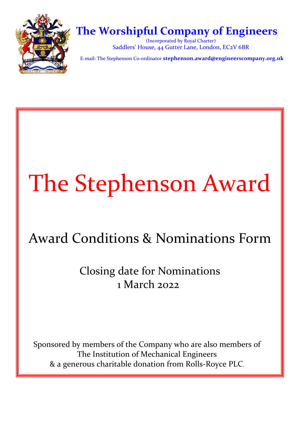

## **The Worshipful Company of Engineers**

(Incorporated by Royal Charter) Saddlers' House, 44 Gutter Lane, London, EC2V 6BR

E‐mail: The Stephenson Co-ordinator **stephenson.award@engineerscompany.org.uk** 

# The Stephenson Award

# Award Conditions & Nominations Form

Closing date for Nominations 1 March 2022

Sponsored by members of the Company who are also members of The Institution of Mechanical Engineers & a generous charitable donation from Rolls‐Royce PLC.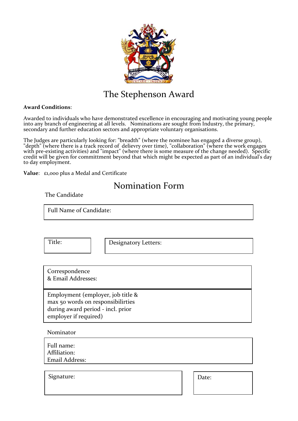

## The Stephenson Award

#### **Award Conditions**:

Awarded to individuals who have demonstrated excellence in encouraging and motivating young people into any branch of engineering at all levels. Nominations are sought from Industry, the primary, secondary and further education sectors and appropriate voluntary organisations.

The Judges are particularly looking for: "breadth" (where the nominee has engaged a diverse group), "depth" (where there is a track record of delievry over time), "collaboration" (where the work engages with pre-existing activities) and "impact" (where there is some measure of the change needed). Specific credit will be given for committment beyond that which might be expected as part of an individual's day to day employment.

**Value**: £1,000 plus a Medal and Certificate

### Nomination Form

The Candidate

Full Name of Candidate:

Title: | | Designatory Letters:

Correspondence & Email Addresses:

Employment (employer, job title & max 50 words on responsibilirties during award period - incl. prior employer if required)

Nominator

| Full name:<br>Affiliation: |  |
|----------------------------|--|
| Email Address:             |  |
|                            |  |

Signature:  $\vert$  Date: